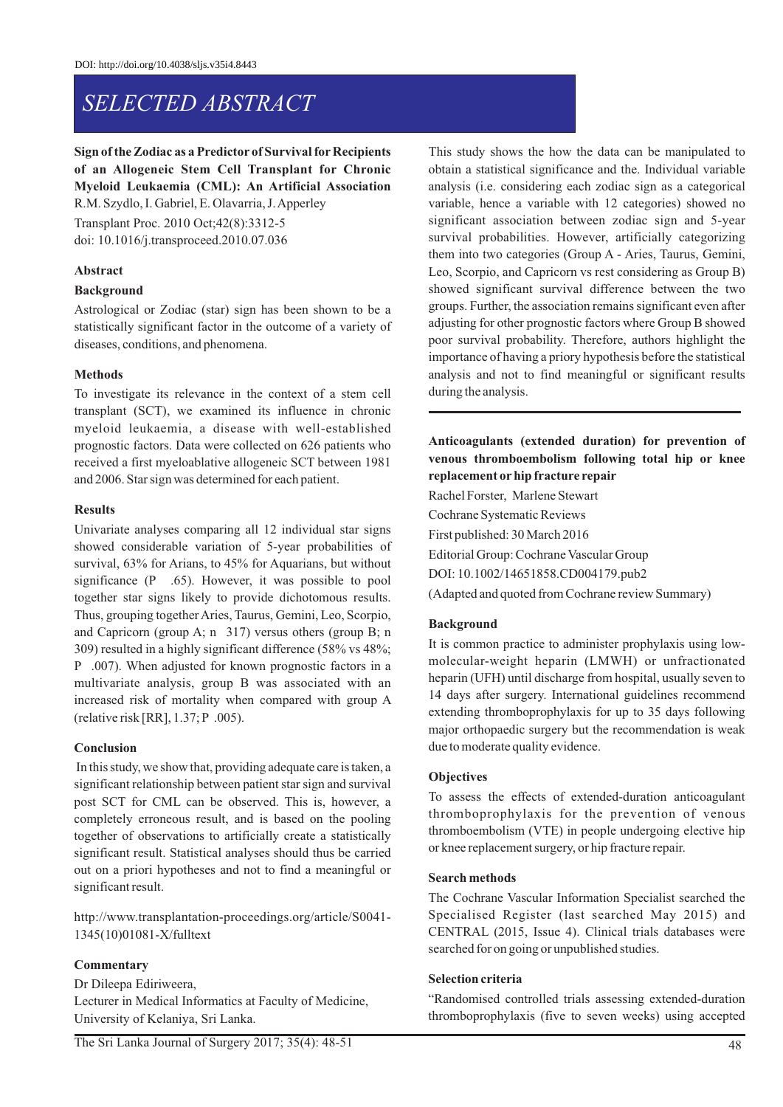# *SELECTED ABSTRACT*

# **Sign of the Zodiac as a Predictor of Survival for Recipients of an Allogeneic Stem Cell Transplant for Chronic Myeloid Leukaemia (CML): An Artificial Association**  R.M. Szydlo, I. Gabriel, E. Olavarria, J. Apperley

Transplant Proc. 2010 Oct;42(8):3312-5 doi: 10.1016/j.transproceed.2010.07.036

## **Abstract**

## **Background**

Astrological or Zodiac (star) sign has been shown to be a statistically significant factor in the outcome of a variety of diseases, conditions, and phenomena.

## **Methods**

To investigate its relevance in the context of a stem cell transplant (SCT), we examined its influence in chronic myeloid leukaemia, a disease with well-established prognostic factors. Data were collected on 626 patients who received a first myeloablative allogeneic SCT between 1981 and 2006. Star sign was determined for each patient.

#### **Results**

Univariate analyses comparing all 12 individual star signs showed considerable variation of 5-year probabilities of survival, 63% for Arians, to 45% for Aquarians, but without significance (P .65). However, it was possible to pool together star signs likely to provide dichotomous results. Thus, grouping together Aries, Taurus, Gemini, Leo, Scorpio, and Capricorn (group A; n 317) versus others (group B; n 309) resulted in a highly significant difference (58% vs 48%; P .007). When adjusted for known prognostic factors in a multivariate analysis, group B was associated with an increased risk of mortality when compared with group A (relative risk [RR], 1.37; P .005).

# **Conclusion**

In this study, we show that, providing adequate care is taken, a significant relationship between patient star sign and survival post SCT for CML can be observed. This is, however, a completely erroneous result, and is based on the pooling together of observations to artificially create a statistically significant result. Statistical analyses should thus be carried out on a priori hypotheses and not to find a meaningful or significant result.

http://www.transplantation-proceedings.org/article/S0041- 1345(10)01081-X/fulltext

# **Commentary**

Dr Dileepa Ediriweera, Lecturer in Medical Informatics at Faculty of Medicine, University of Kelaniya, Sri Lanka.

This study shows the how the data can be manipulated to obtain a statistical significance and the. Individual variable analysis (i.e. considering each zodiac sign as a categorical variable, hence a variable with 12 categories) showed no significant association between zodiac sign and 5-year survival probabilities. However, artificially categorizing them into two categories (Group A - Aries, Taurus, Gemini, Leo, Scorpio, and Capricorn vs rest considering as Group B) showed significant survival difference between the two groups. Further, the association remains significant even after adjusting for other prognostic factors where Group B showed poor survival probability. Therefore, authors highlight the importance of having a priory hypothesis before the statistical analysis and not to find meaningful or significant results during the analysis.

# **Anticoagulants (extended duration) for prevention of venous thromboembolism following total hip or knee replacement orhip fracture repair**

Rachel Forster, Marlene Stewart Cochrane Systematic Reviews First published: 30 March 2016 Editorial Group: Cochrane Vascular Group DOI: 10.1002/14651858.CD004179.pub2 (Adapted and quoted from Cochrane review Summary)

# **Background**

It is common practice to administer prophylaxis using lowmolecular-weight heparin (LMWH) or unfractionated heparin (UFH) until discharge from hospital, usually seven to 14 days after surgery. International guidelines recommend extending thromboprophylaxis for up to 35 days following major orthopaedic surgery but the recommendation is weak due to moderate quality evidence.

## **Objectives**

To assess the effects of extended-duration anticoagulant thromboprophylaxis for the prevention of venous thromboembolism (VTE) in people undergoing elective hip or knee replacement surgery, or hip fracture repair.

#### **Search methods**

The Cochrane Vascular Information Specialist searched the Specialised Register (last searched May 2015) and CENTRAL (2015, Issue 4). Clinical trials databases were searched for on going or unpublished studies.

#### **Selection criteria**

"Randomised controlled trials assessing extended-duration thromboprophylaxis (five to seven weeks) using accepted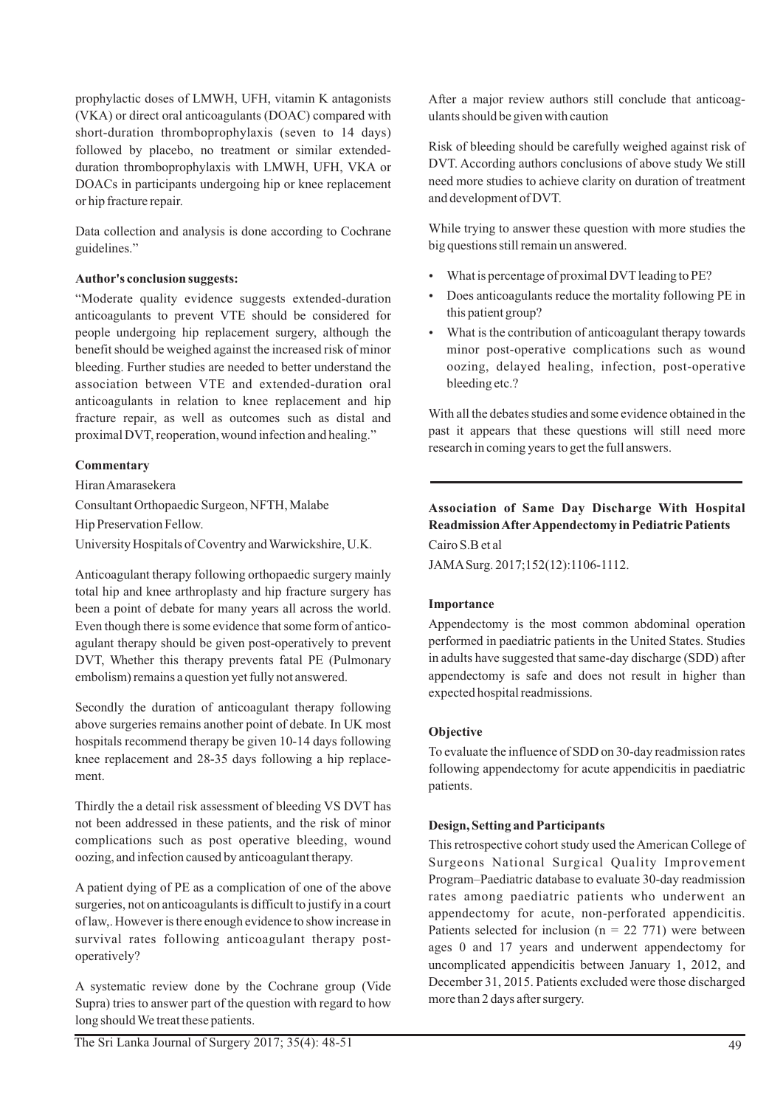prophylactic doses of LMWH, UFH, vitamin K antagonists (VKA) or direct oral anticoagulants (DOAC) compared with short-duration thromboprophylaxis (seven to 14 days) followed by placebo, no treatment or similar extendedduration thromboprophylaxis with LMWH, UFH, VKA or DOACs in participants undergoing hip or knee replacement or hip fracture repair.

Data collection and analysis is done according to Cochrane guidelines."

## **Author's conclusion suggests:**

"Moderate quality evidence suggests extended-duration anticoagulants to prevent VTE should be considered for people undergoing hip replacement surgery, although the benefit should be weighed against the increased risk of minor bleeding. Further studies are needed to better understand the association between VTE and extended-duration oral anticoagulants in relation to knee replacement and hip fracture repair, as well as outcomes such as distal and proximal DVT, reoperation, wound infection and healing."

## **Commentary**

Hiran Amarasekera Consultant Orthopaedic Surgeon, NFTH, Malabe Hip Preservation Fellow. University Hospitals of Coventry and Warwickshire, U.K.

Anticoagulant therapy following orthopaedic surgery mainly total hip and knee arthroplasty and hip fracture surgery has been a point of debate for many years all across the world. Even though there is some evidence that some form of anticoagulant therapy should be given post-operatively to prevent DVT, Whether this therapy prevents fatal PE (Pulmonary embolism) remains a question yet fully not answered.

Secondly the duration of anticoagulant therapy following above surgeries remains another point of debate. In UK most hospitals recommend therapy be given 10-14 days following knee replacement and 28-35 days following a hip replacement.

Thirdly the a detail risk assessment of bleeding VS DVT has not been addressed in these patients, and the risk of minor complications such as post operative bleeding, wound oozing, and infection caused by anticoagulant therapy.

A patient dying of PE as a complication of one of the above surgeries, not on anticoagulants is difficult to justify in a court of law,. However is there enough evidence to show increase in survival rates following anticoagulant therapy postoperatively?

A systematic review done by the Cochrane group (Vide Supra) tries to answer part of the question with regard to how long should We treat these patients.

Risk of bleeding should be carefully weighed against risk of DVT. According authors conclusions of above study We still need more studies to achieve clarity on duration of treatment and development of DVT.

While trying to answer these question with more studies the big questions still remain un answered.

- What is percentage of proximal DVT leading to PE?
- Does anticoagulants reduce the mortality following PE in this patient group?
- What is the contribution of anticoagulant therapy towards minor post-operative complications such as wound oozing, delayed healing, infection, post-operative bleeding etc.?

With all the debates studies and some evidence obtained in the past it appears that these questions will still need more research in coming years to get the full answers.

# **Association of Same Day Discharge With Hospital Readmission AfterAppendectomy in Pediatric Patients** Cairo S.B et al

JAMASurg. 2017;152(12):1106-1112.

# **Importance**

Appendectomy is the most common abdominal operation performed in paediatric patients in the United States. Studies in adults have suggested that same-day discharge (SDD) after appendectomy is safe and does not result in higher than expected hospital readmissions.

# **Objective**

To evaluate the influence of SDD on 30-day readmission rates following appendectomy for acute appendicitis in paediatric patients.

# **Design, Setting and Participants**

This retrospective cohort study used the American College of Surgeons National Surgical Quality Improvement Program–Paediatric database to evaluate 30-day readmission rates among paediatric patients who underwent an appendectomy for acute, non-perforated appendicitis. Patients selected for inclusion ( $n = 22771$ ) were between ages 0 and 17 years and underwent appendectomy for uncomplicated appendicitis between January 1, 2012, and December 31, 2015. Patients excluded were those discharged more than 2 days after surgery.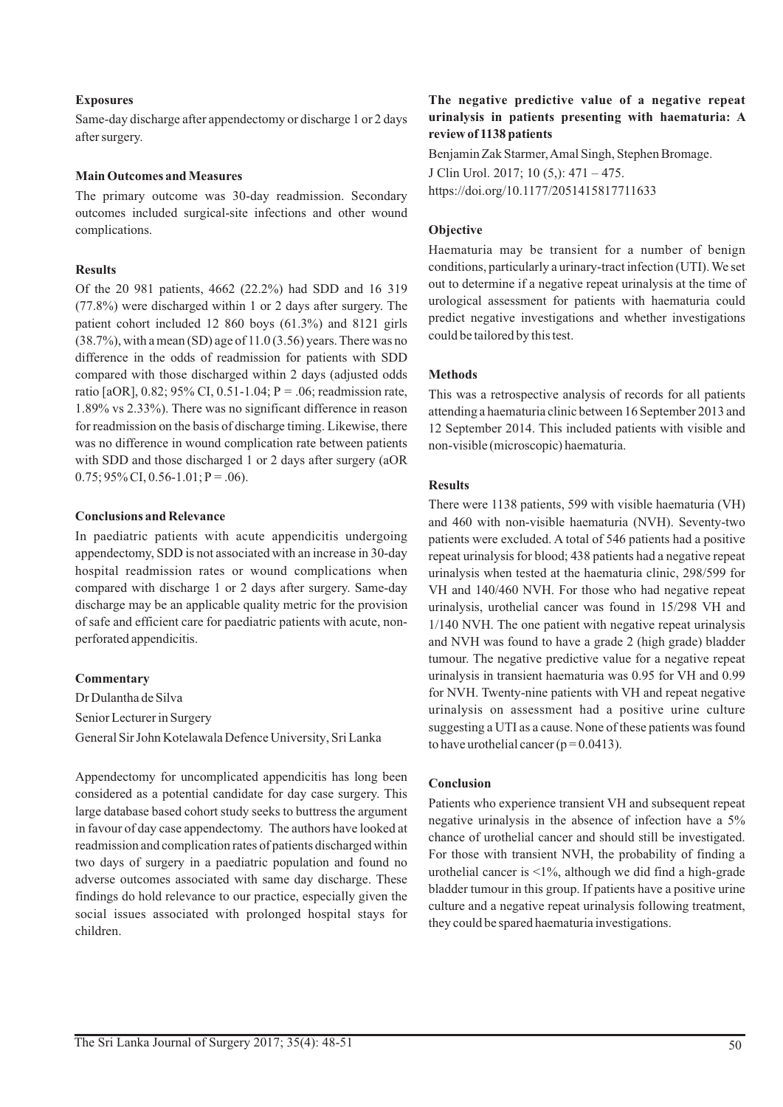## **Exposures**

Same-day discharge after appendectomy or discharge 1 or 2 days after surgery.

#### **Main Outcomes and Measures**

The primary outcome was 30-day readmission. Secondary outcomes included surgical-site infections and other wound complications.

## **Results**

Of the 20 981 patients, 4662 (22.2%) had SDD and 16  319 (77.8%) were discharged within 1 or 2 days after surgery. The patient cohort included 12 860 boys (61.3%) and 8121 girls  $(38.7%)$ , with a mean (SD) age of  $11.0$   $(3.56)$  years. There was no difference in the odds of readmission for patients with SDD compared with those discharged within 2 days (adjusted odds ratio [aOR], 0.82; 95% CI, 0.51-1.04; P = .06; readmission rate, 1.89% vs 2.33%). There was no significant difference in reason for readmission on the basis of discharge timing. Likewise, there was no difference in wound complication rate between patients with SDD and those discharged 1 or 2 days after surgery (aOR  $0.75$ ; 95% CI, 0.56-1.01; P = .06).

#### **Conclusions and Relevance**

In paediatric patients with acute appendicitis undergoing appendectomy, SDD is not associated with an increase in 30-day hospital readmission rates or wound complications when compared with discharge 1 or 2 days after surgery. Same-day discharge may be an applicable quality metric for the provision of safe and efficient care for paediatric patients with acute, nonperforated appendicitis.

#### **Commentary**

Dr Dulantha de Silva Senior Lecturer in Surgery General Sir John Kotelawala Defence University, Sri Lanka

Appendectomy for uncomplicated appendicitis has long been considered as a potential candidate for day case surgery. This large database based cohort study seeks to buttress the argument in favour of day case appendectomy. The authors have looked at readmission and complication rates of patients discharged within two days of surgery in a paediatric population and found no adverse outcomes associated with same day discharge. These findings do hold relevance to our practice, especially given the social issues associated with prolonged hospital stays for children.

## **The negative predictive value of a negative repeat urinalysis in patients presenting with haematuria: A review of 1138 patients**

Benjamin Zak Starmer, Amal Singh, Stephen Bromage.

J Clin Urol. 2017; 10 (5,): 471 – 475.

https://doi.org/10.1177/2051415817711633

#### **Objective**

Haematuria may be transient for a number of benign conditions, particularly a urinary-tract infection (UTI). We set out to determine if a negative repeat urinalysis at the time of urological assessment for patients with haematuria could predict negative investigations and whether investigations could be tailored by this test.

#### **Methods**

This was a retrospective analysis of records for all patients attending a haematuria clinic between 16 September 2013 and 12 September 2014. This included patients with visible and non-visible (microscopic) haematuria.

#### **Results**

There were 1138 patients, 599 with visible haematuria (VH) and 460 with non-visible haematuria (NVH). Seventy-two patients were excluded. A total of 546 patients had a positive repeat urinalysis for blood; 438 patients had a negative repeat urinalysis when tested at the haematuria clinic, 298/599 for VH and 140/460 NVH. For those who had negative repeat urinalysis, urothelial cancer was found in 15/298 VH and 1/140 NVH. The one patient with negative repeat urinalysis and NVH was found to have a grade 2 (high grade) bladder tumour. The negative predictive value for a negative repeat urinalysis in transient haematuria was 0.95 for VH and 0.99 for NVH. Twenty-nine patients with VH and repeat negative urinalysis on assessment had a positive urine culture suggesting a UTI as a cause. None of these patients was found to have urothelial cancer ( $p = 0.0413$ ).

## **Conclusion**

Patients who experience transient VH and subsequent repeat negative urinalysis in the absence of infection have a 5% chance of urothelial cancer and should still be investigated. For those with transient NVH, the probability of finding a urothelial cancer is <1%, although we did find a high-grade bladder tumour in this group. If patients have a positive urine culture and a negative repeat urinalysis following treatment, they could be spared haematuria investigations.